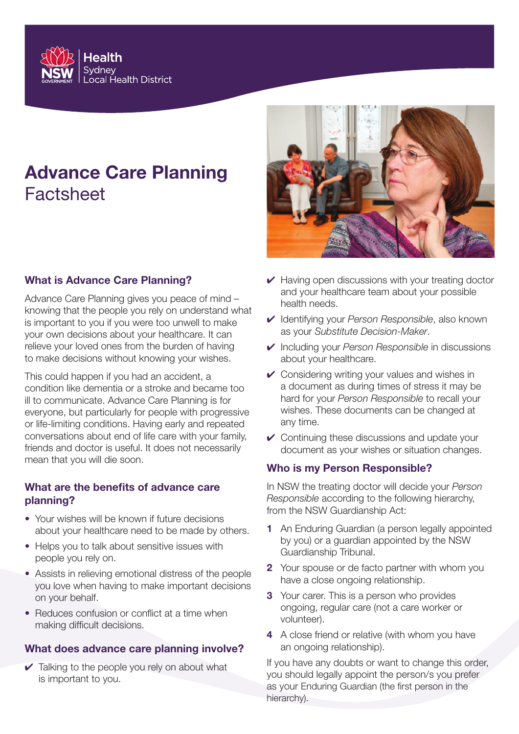

# **Advance Care Planning Factsheet**

#### **What is Advance Care Planning?**

Advance Care Planning gives you peace of mind – knowing that the people you rely on understand what is important to you if you were too unwell to make your own decisions about your healthcare. It can relieve your loved ones from the burden of having to make decisions without knowing your wishes.

This could happen if you had an accident, a condition like dementia or a stroke and became too ill to communicate. Advance Care Planning is for everyone, but particularly for people with progressive or life-limiting conditions. Having early and repeated conversations about end of life care with your family, friends and doctor is useful. It does not necessarily mean that you will die soon.

#### **What are the benefits of advance care planning?**

- Your wishes will be known if future decisions about your healthcare need to be made by others.
- Helps you to talk about sensitive issues with people you rely on.
- Assists in relieving emotional distress of the people you love when having to make important decisions on your behalf.
- Reduces confusion or conflict at a time when making difficult decisions.

#### **What does advance care planning involve?**

 $\vee$  Talking to the people you rely on about what is important to you.



- $\vee$  Having open discussions with your treating doctor and your healthcare team about your possible health needs.
- ✔ Identifying your *Person Responsible*, also known as your *Substitute Decision-Maker*.
- ✔ Including your *Person Responsible* in discussions about your healthcare.
- ✔ Considering writing your values and wishes in a document as during times of stress it may be hard for your *Person Responsible* to recall your wishes. These documents can be changed at any time.
- $\vee$  Continuing these discussions and update your document as your wishes or situation changes.

#### **Who is my Person Responsible?**

In NSW the treating doctor will decide your *Person Responsible* according to the following hierarchy, from the NSW Guardianship Act:

- **1** An Enduring Guardian (a person legally appointed by you) or a guardian appointed by the NSW Guardianship Tribunal.
- **2** Your spouse or de facto partner with whom you have a close ongoing relationship.
- **3** Your carer. This is a person who provides ongoing, regular care (not a care worker or volunteer).
- **4** A close friend or relative (with whom you have an ongoing relationship).

If you have any doubts or want to change this order, you should legally appoint the person/s you prefer as your Enduring Guardian (the first person in the hierarchy).